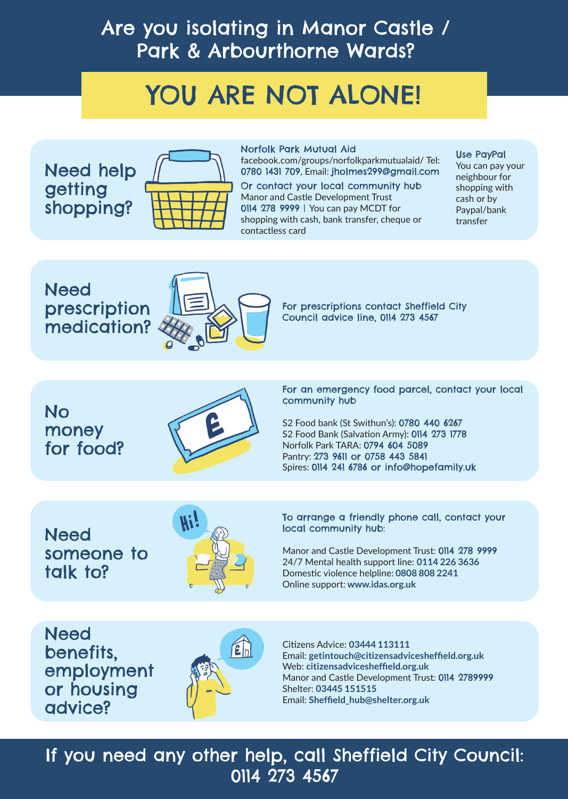## Are you isolating in Manor Castle / Park & Arbourthorne Wards?

# YOU ARE NOT ALONE!

**Need** prescription medication?



Need help getting shopping?



**Need** someone to talk to?



#### **Need** benefits, employment or housing advice?



No money for food?



#### If you need any other help, call Sheffield City Council: 0114 273 4567

You can pay your neighbour for shopping with cash or by Paypal/bank transfer

Norfolk Park Mutual Aid

facebook.com/groups/norfolkparkmutualaid/ Tel: 0780 1431 709, Email: jholmes299@gmail.com

> For prescriptions contact Sheffield City Council advice line, 0114 273 4567

Use PayPal

Or contact your local community hub Manor and Castle Development Trust 0114 278 9999 | You can pay MCDT for shopping with cash, bank transfer, cheque or contactless card

> For an emergency food parcel, contact your local community hub

S2 Food bank (St Swithun's): 0780 440 6267 S2 Food Bank (Salvation Army): 0114 273 1778 Norfolk Park TARA: 0794 604 5089 Pantry: 273 9611 or 0758 443 5841 Spires: 0114 241 6786 or info@hopefamily.uk

Citizens Advice: **03444 113111**  Email: **getintouch@citizensadvicesheffield.org.uk**  Web: **citizensadvicesheffield.org.uk**  Manor and Castle Development Trust: 0114 2789999 Shelter: **03445 151515**  Email: **Sheffield\_hub@shelter.org.uk**

To arrange a friendly phone call, contact your local community hub:

Manor and Castle Development Trust: 0114 278 9999 24/7 Mental health support line: **0114 226 3636** Domestic violence helpline: **0808 808 2241** Online support: **www.idas.org.uk**